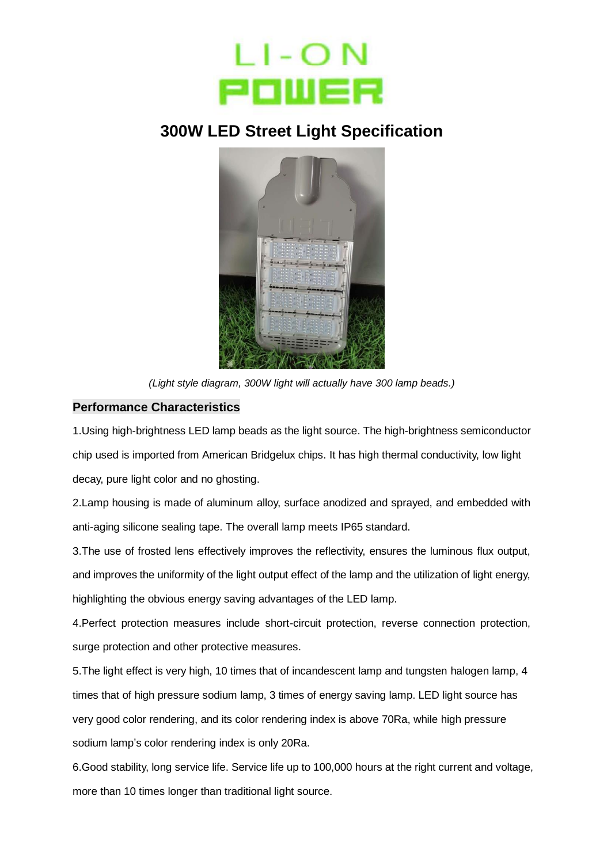

## **300W LED Street Light Specification**



*(Light style diagram, 300W light will actually have 300 lamp beads.)*

## **Performance Characteristics**

1.Using high-brightness LED lamp beads as the light source. The high-brightness semiconductor chip used is imported from American Bridgelux chips. It has high thermal conductivity, low light decay, pure light color and no ghosting.

2.Lamp housing is made of aluminum alloy, surface anodized and sprayed, and embedded with anti-aging silicone sealing tape. The overall lamp meets IP65 standard.

3.The use of frosted lens effectively improves the reflectivity, ensures the luminous flux output, and improves the uniformity of the light output effect of the lamp and the utilization of light energy, highlighting the obvious energy saving advantages of the LED lamp.

4.Perfect protection measures include short-circuit protection, reverse connection protection, surge protection and other protective measures.

5.The light effect is very high, 10 times that of incandescent lamp and tungsten halogen lamp, 4 times that of high pressure sodium lamp, 3 times of energy saving lamp. LED light source has very good color rendering, and its color rendering index is above 70Ra, while high pressure sodium lamp's color rendering index is only 20Ra.

6.Good stability, long service life. Service life up to 100,000 hours at the right current and voltage, more than 10 times longer than traditional light source.